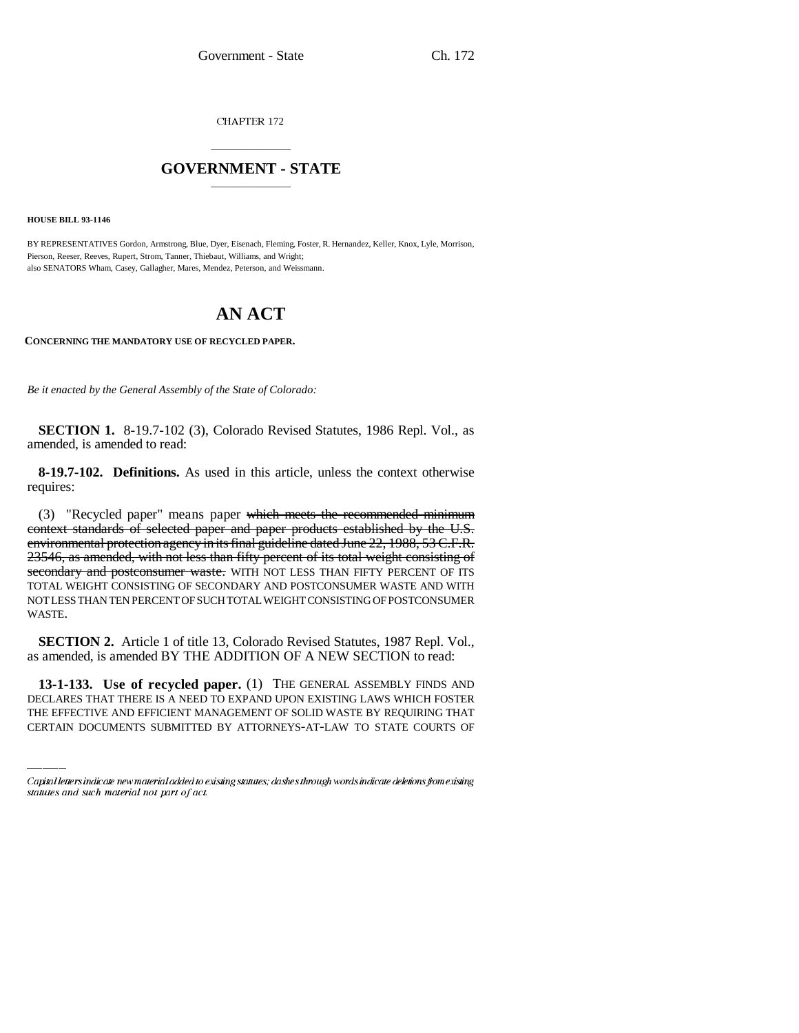CHAPTER 172

## \_\_\_\_\_\_\_\_\_\_\_\_\_\_\_ **GOVERNMENT - STATE** \_\_\_\_\_\_\_\_\_\_\_\_\_\_\_

**HOUSE BILL 93-1146**

BY REPRESENTATIVES Gordon, Armstrong, Blue, Dyer, Eisenach, Fleming, Foster, R. Hernandez, Keller, Knox, Lyle, Morrison, Pierson, Reeser, Reeves, Rupert, Strom, Tanner, Thiebaut, Williams, and Wright; also SENATORS Wham, Casey, Gallagher, Mares, Mendez, Peterson, and Weissmann.

## **AN ACT**

**CONCERNING THE MANDATORY USE OF RECYCLED PAPER.**

*Be it enacted by the General Assembly of the State of Colorado:*

**SECTION 1.** 8-19.7-102 (3), Colorado Revised Statutes, 1986 Repl. Vol., as amended, is amended to read:

**8-19.7-102. Definitions.** As used in this article, unless the context otherwise requires:

(3) "Recycled paper" means paper which meets the recommended minimum context standards of selected paper and paper products established by the U.S. environmental protection agency in its final guideline dated June 22, 1988, 53 C.F.R. 23546, as amended, with not less than fifty percent of its total weight consisting of secondary and postconsumer waste. WITH NOT LESS THAN FIFTY PERCENT OF ITS TOTAL WEIGHT CONSISTING OF SECONDARY AND POSTCONSUMER WASTE AND WITH NOT LESS THAN TEN PERCENT OF SUCH TOTAL WEIGHT CONSISTING OF POSTCONSUMER WASTE.

**SECTION 2.** Article 1 of title 13, Colorado Revised Statutes, 1987 Repl. Vol., as amended, is amended BY THE ADDITION OF A NEW SECTION to read:

**13-1-133. Use of recycled paper.** (1) THE GENERAL ASSEMBLY FINDS AND DECLARES THAT THERE IS A NEED TO EXPAND UPON EXISTING LAWS WHICH FOSTER THE EFFECTIVE AND EFFICIENT MANAGEMENT OF SOLID WASTE BY REQUIRING THAT CERTAIN DOCUMENTS SUBMITTED BY ATTORNEYS-AT-LAW TO STATE COURTS OF

Capital letters indicate new material added to existing statutes; dashes through words indicate deletions from existing statutes and such material not part of act.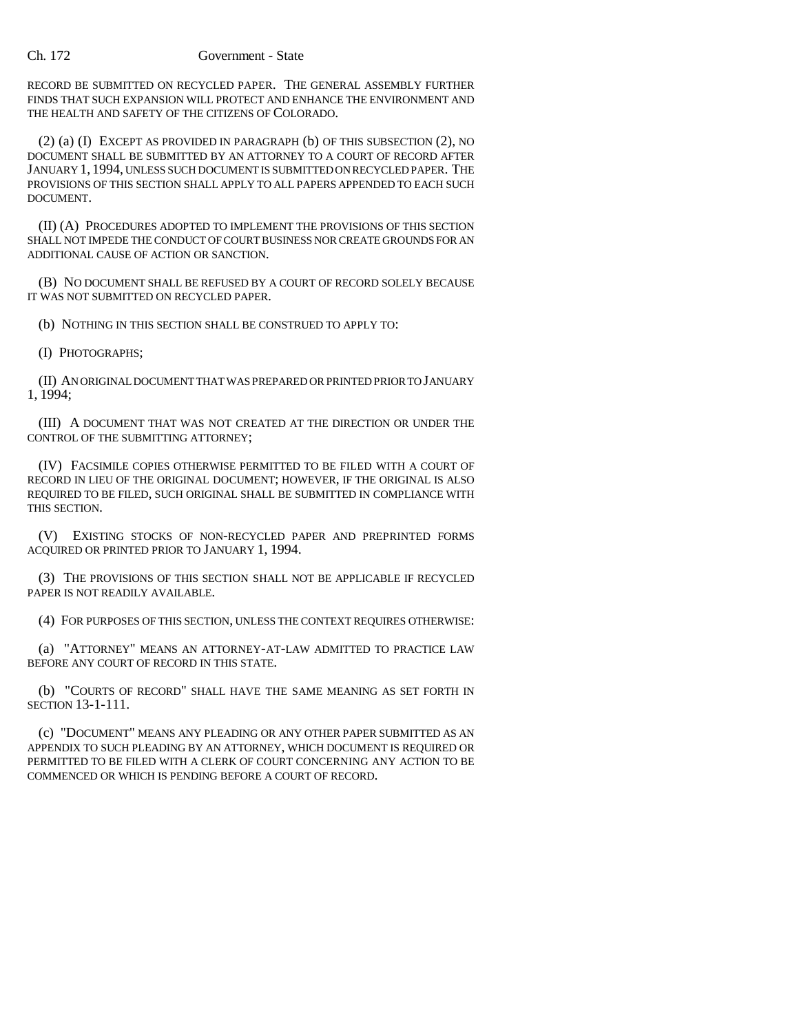## Ch. 172 Government - State

RECORD BE SUBMITTED ON RECYCLED PAPER. THE GENERAL ASSEMBLY FURTHER FINDS THAT SUCH EXPANSION WILL PROTECT AND ENHANCE THE ENVIRONMENT AND THE HEALTH AND SAFETY OF THE CITIZENS OF COLORADO.

(2) (a) (I) EXCEPT AS PROVIDED IN PARAGRAPH (b) OF THIS SUBSECTION (2), NO DOCUMENT SHALL BE SUBMITTED BY AN ATTORNEY TO A COURT OF RECORD AFTER JANUARY 1, 1994, UNLESS SUCH DOCUMENT IS SUBMITTED ON RECYCLED PAPER. THE PROVISIONS OF THIS SECTION SHALL APPLY TO ALL PAPERS APPENDED TO EACH SUCH DOCUMENT.

(II) (A) PROCEDURES ADOPTED TO IMPLEMENT THE PROVISIONS OF THIS SECTION SHALL NOT IMPEDE THE CONDUCT OF COURT BUSINESS NOR CREATE GROUNDS FOR AN ADDITIONAL CAUSE OF ACTION OR SANCTION.

(B) NO DOCUMENT SHALL BE REFUSED BY A COURT OF RECORD SOLELY BECAUSE IT WAS NOT SUBMITTED ON RECYCLED PAPER.

(b) NOTHING IN THIS SECTION SHALL BE CONSTRUED TO APPLY TO:

(I) PHOTOGRAPHS;

(II) AN ORIGINAL DOCUMENT THAT WAS PREPARED OR PRINTED PRIOR TO JANUARY 1, 1994;

(III) A DOCUMENT THAT WAS NOT CREATED AT THE DIRECTION OR UNDER THE CONTROL OF THE SUBMITTING ATTORNEY;

(IV) FACSIMILE COPIES OTHERWISE PERMITTED TO BE FILED WITH A COURT OF RECORD IN LIEU OF THE ORIGINAL DOCUMENT; HOWEVER, IF THE ORIGINAL IS ALSO REQUIRED TO BE FILED, SUCH ORIGINAL SHALL BE SUBMITTED IN COMPLIANCE WITH THIS SECTION.

(V) EXISTING STOCKS OF NON-RECYCLED PAPER AND PREPRINTED FORMS ACQUIRED OR PRINTED PRIOR TO JANUARY 1, 1994.

(3) THE PROVISIONS OF THIS SECTION SHALL NOT BE APPLICABLE IF RECYCLED PAPER IS NOT READILY AVAILABLE.

(4) FOR PURPOSES OF THIS SECTION, UNLESS THE CONTEXT REQUIRES OTHERWISE:

(a) "ATTORNEY" MEANS AN ATTORNEY-AT-LAW ADMITTED TO PRACTICE LAW BEFORE ANY COURT OF RECORD IN THIS STATE.

(b) "COURTS OF RECORD" SHALL HAVE THE SAME MEANING AS SET FORTH IN SECTION 13-1-111.

(c) "DOCUMENT" MEANS ANY PLEADING OR ANY OTHER PAPER SUBMITTED AS AN APPENDIX TO SUCH PLEADING BY AN ATTORNEY, WHICH DOCUMENT IS REQUIRED OR PERMITTED TO BE FILED WITH A CLERK OF COURT CONCERNING ANY ACTION TO BE COMMENCED OR WHICH IS PENDING BEFORE A COURT OF RECORD.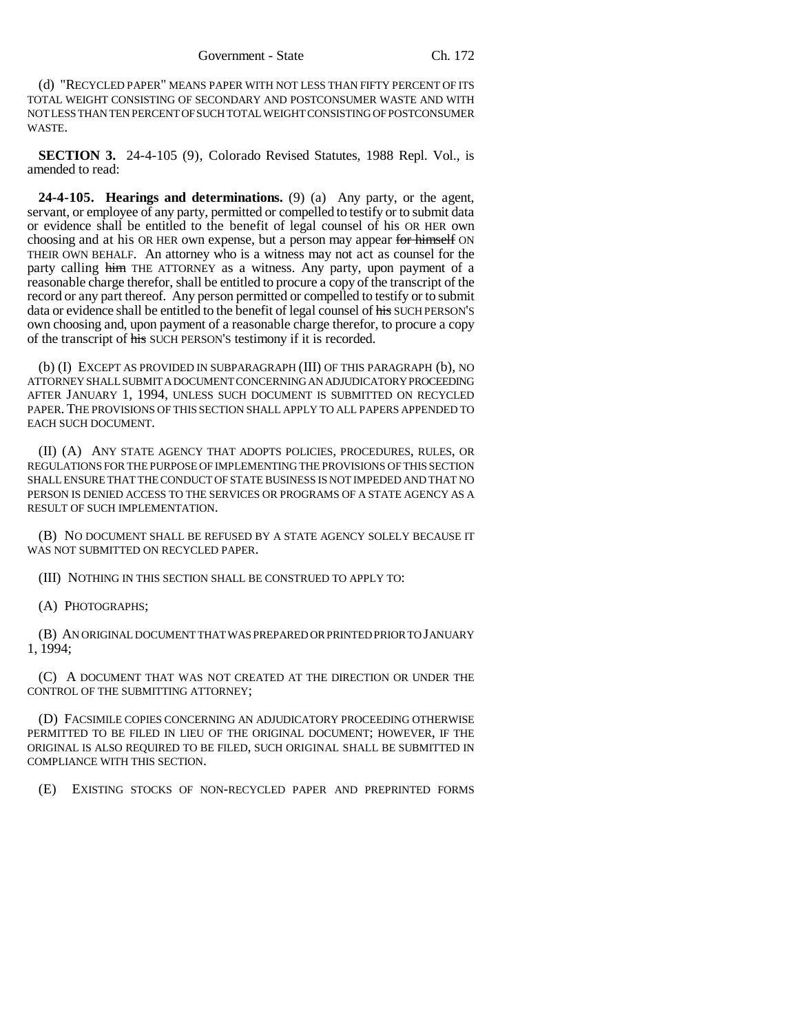(d) "RECYCLED PAPER" MEANS PAPER WITH NOT LESS THAN FIFTY PERCENT OF ITS TOTAL WEIGHT CONSISTING OF SECONDARY AND POSTCONSUMER WASTE AND WITH NOT LESS THAN TEN PERCENT OF SUCH TOTAL WEIGHT CONSISTING OF POSTCONSUMER WASTE.

**SECTION 3.** 24-4-105 (9), Colorado Revised Statutes, 1988 Repl. Vol., is amended to read:

**24-4-105. Hearings and determinations.** (9) (a) Any party, or the agent, servant, or employee of any party, permitted or compelled to testify or to submit data or evidence shall be entitled to the benefit of legal counsel of his OR HER own choosing and at his OR HER own expense, but a person may appear for himself ON THEIR OWN BEHALF. An attorney who is a witness may not act as counsel for the party calling him THE ATTORNEY as a witness. Any party, upon payment of a reasonable charge therefor, shall be entitled to procure a copy of the transcript of the record or any part thereof. Any person permitted or compelled to testify or to submit data or evidence shall be entitled to the benefit of legal counsel of his SUCH PERSON'S own choosing and, upon payment of a reasonable charge therefor, to procure a copy of the transcript of his SUCH PERSON'S testimony if it is recorded.

(b) (I) EXCEPT AS PROVIDED IN SUBPARAGRAPH (III) OF THIS PARAGRAPH (b), NO ATTORNEY SHALL SUBMIT A DOCUMENT CONCERNING AN ADJUDICATORY PROCEEDING AFTER JANUARY 1, 1994, UNLESS SUCH DOCUMENT IS SUBMITTED ON RECYCLED PAPER. THE PROVISIONS OF THIS SECTION SHALL APPLY TO ALL PAPERS APPENDED TO EACH SUCH DOCUMENT.

(II) (A) ANY STATE AGENCY THAT ADOPTS POLICIES, PROCEDURES, RULES, OR REGULATIONS FOR THE PURPOSE OF IMPLEMENTING THE PROVISIONS OF THIS SECTION SHALL ENSURE THAT THE CONDUCT OF STATE BUSINESS IS NOT IMPEDED AND THAT NO PERSON IS DENIED ACCESS TO THE SERVICES OR PROGRAMS OF A STATE AGENCY AS A RESULT OF SUCH IMPLEMENTATION.

(B) NO DOCUMENT SHALL BE REFUSED BY A STATE AGENCY SOLELY BECAUSE IT WAS NOT SUBMITTED ON RECYCLED PAPER.

(III) NOTHING IN THIS SECTION SHALL BE CONSTRUED TO APPLY TO:

(A) PHOTOGRAPHS;

(B) AN ORIGINAL DOCUMENT THAT WAS PREPARED OR PRINTED PRIOR TO JANUARY 1, 1994;

(C) A DOCUMENT THAT WAS NOT CREATED AT THE DIRECTION OR UNDER THE CONTROL OF THE SUBMITTING ATTORNEY;

(D) FACSIMILE COPIES CONCERNING AN ADJUDICATORY PROCEEDING OTHERWISE PERMITTED TO BE FILED IN LIEU OF THE ORIGINAL DOCUMENT; HOWEVER, IF THE ORIGINAL IS ALSO REQUIRED TO BE FILED, SUCH ORIGINAL SHALL BE SUBMITTED IN COMPLIANCE WITH THIS SECTION.

(E) EXISTING STOCKS OF NON-RECYCLED PAPER AND PREPRINTED FORMS